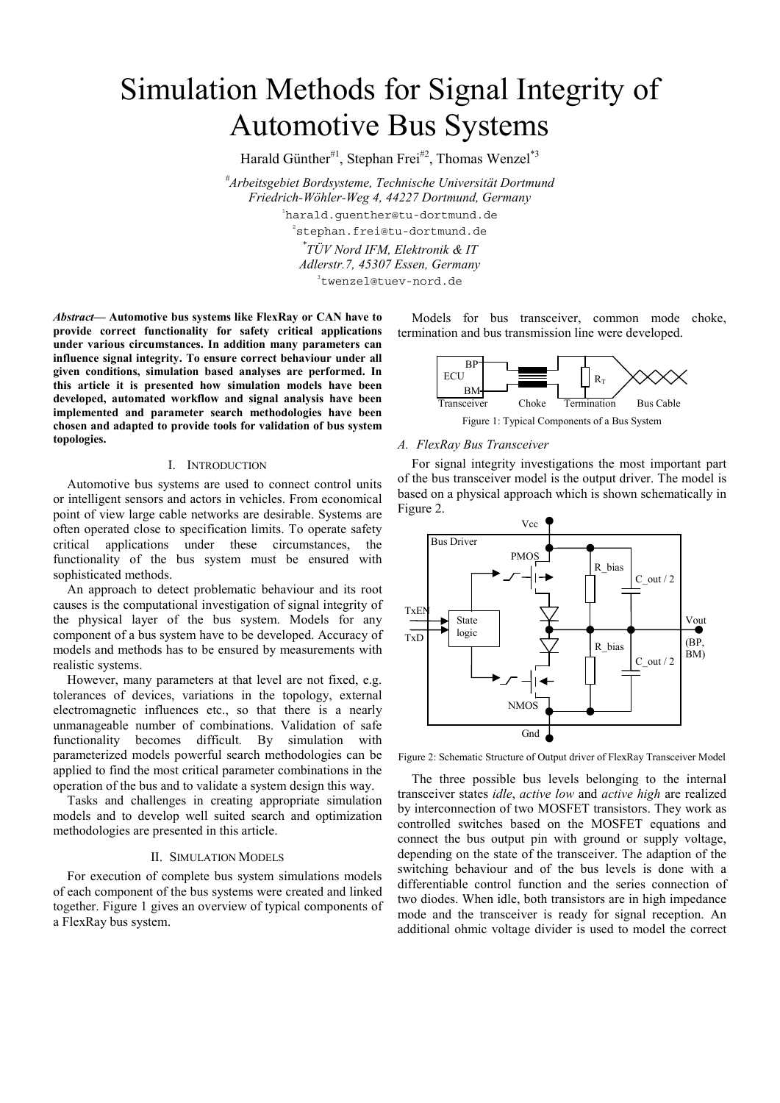# Simulation Methods for Signal Integrity of Automotive Bus Systems

Harald Günther<sup>#1</sup>, Stephan Frei<sup>#2</sup>, Thomas Wenzel<sup>\*3</sup>

*# Arbeitsgebiet Bordsysteme, Technische Universität Dortmund Friedrich-Wöhler-Weg 4, 44227 Dortmund, Germany* 1 harald.guenther@tu-dortmund.de 2 stephan.frei@tu-dortmund.de *\* TÜV Nord IFM, Elektronik & IT Adlerstr.7, 45307 Essen, Germany* 

3 twenzel@tuev-nord.de

*Abstract***— Automotive bus systems like FlexRay or CAN have to provide correct functionality for safety critical applications under various circumstances. In addition many parameters can influence signal integrity. To ensure correct behaviour under all given conditions, simulation based analyses are performed. In this article it is presented how simulation models have been developed, automated workflow and signal analysis have been implemented and parameter search methodologies have been chosen and adapted to provide tools for validation of bus system topologies.** 

## I. INTRODUCTION

Automotive bus systems are used to connect control units or intelligent sensors and actors in vehicles. From economical point of view large cable networks are desirable. Systems are often operated close to specification limits. To operate safety critical applications under these circumstances, the functionality of the bus system must be ensured with sophisticated methods.

An approach to detect problematic behaviour and its root causes is the computational investigation of signal integrity of the physical layer of the bus system. Models for any component of a bus system have to be developed. Accuracy of models and methods has to be ensured by measurements with realistic systems.

However, many parameters at that level are not fixed, e.g. tolerances of devices, variations in the topology, external electromagnetic influences etc., so that there is a nearly unmanageable number of combinations. Validation of safe functionality becomes difficult. By simulation with parameterized models powerful search methodologies can be applied to find the most critical parameter combinations in the operation of the bus and to validate a system design this way.

Tasks and challenges in creating appropriate simulation models and to develop well suited search and optimization methodologies are presented in this article.

#### II. SIMULATION MODELS

For execution of complete bus system simulations models of each component of the bus systems were created and linked together. Figure 1 gives an overview of typical components of a FlexRay bus system.

Models for bus transceiver, common mode choke, termination and bus transmission line were developed.



Figure 1: Typical Components of a Bus System

#### *A. FlexRay Bus Transceiver*

For signal integrity investigations the most important part of the bus transceiver model is the output driver. The model is based on a physical approach which is shown schematically in Figure 2.



Figure 2: Schematic Structure of Output driver of FlexRay Transceiver Model

The three possible bus levels belonging to the internal transceiver states *idle*, *active low* and *active high* are realized by interconnection of two MOSFET transistors. They work as controlled switches based on the MOSFET equations and connect the bus output pin with ground or supply voltage, depending on the state of the transceiver. The adaption of the switching behaviour and of the bus levels is done with a differentiable control function and the series connection of two diodes. When idle, both transistors are in high impedance mode and the transceiver is ready for signal reception. An additional ohmic voltage divider is used to model the correct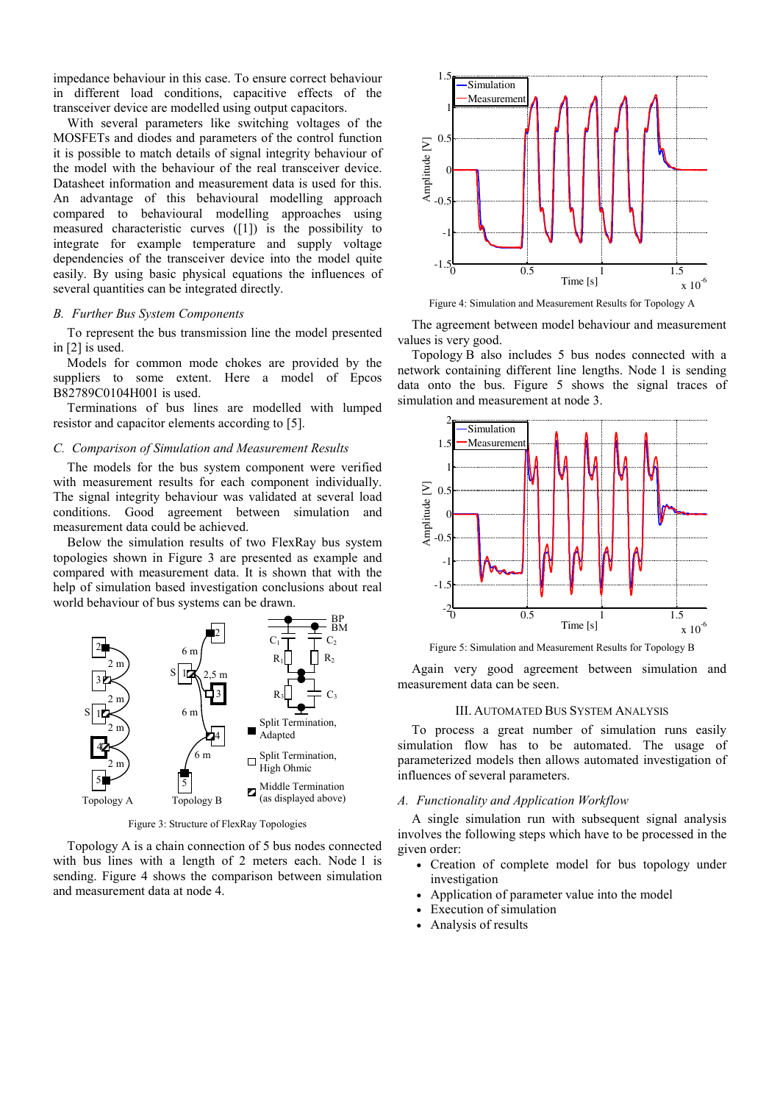impedance behaviour in this case. To ensure correct behaviour in different load conditions, capacitive effects of the transceiver device are modelled using output capacitors.

With several parameters like switching voltages of the MOSFETs and diodes and parameters of the control function it is possible to match details of signal integrity behaviour of the model with the behaviour of the real transceiver device. Datasheet information and measurement data is used for this. An advantage of this behavioural modelling approach compared to behavioural modelling approaches using measured characteristic curves ([1]) is the possibility to integrate for example temperature and supply voltage dependencies of the transceiver device into the model quite easily. By using basic physical equations the influences of several quantities can be integrated directly.

# *B. Further Bus System Components*

To represent the bus transmission line the model presented in [2] is used.

Models for common mode chokes are provided by the suppliers to some extent. Here a model of Epcos B82789C0104H001 is used.

Terminations of bus lines are modelled with lumped resistor and capacitor elements according to [5].

#### *C. Comparison of Simulation and Measurement Results*

The models for the bus system component were verified with measurement results for each component individually. The signal integrity behaviour was validated at several load conditions. Good agreement between simulation and measurement data could be achieved.

Below the simulation results of two FlexRay bus system topologies shown in Figure 3 are presented as example and compared with measurement data. It is shown that with the help of simulation based investigation conclusions about real world behaviour of bus systems can be drawn.



Figure 3: Structure of FlexRay Topologies

Topology A is a chain connection of 5 bus nodes connected with bus lines with a length of 2 meters each. Node 1 is sending. Figure 4 shows the comparison between simulation and measurement data at node 4.



Figure 4: Simulation and Measurement Results for Topology A

The agreement between model behaviour and measurement values is very good.

Topology B also includes 5 bus nodes connected with a network containing different line lengths. Node 1 is sending data onto the bus. Figure 5 shows the signal traces of simulation and measurement at node 3.



Figure 5: Simulation and Measurement Results for Topology B

Again very good agreement between simulation and measurement data can be seen.

# III. AUTOMATED BUS SYSTEM ANALYSIS

To process a great number of simulation runs easily simulation flow has to be automated. The usage of parameterized models then allows automated investigation of influences of several parameters.

## *A. Functionality and Application Workflow*

A single simulation run with subsequent signal analysis involves the following steps which have to be processed in the given order:

- Creation of complete model for bus topology under investigation
- Application of parameter value into the model
- Execution of simulation
- Analysis of results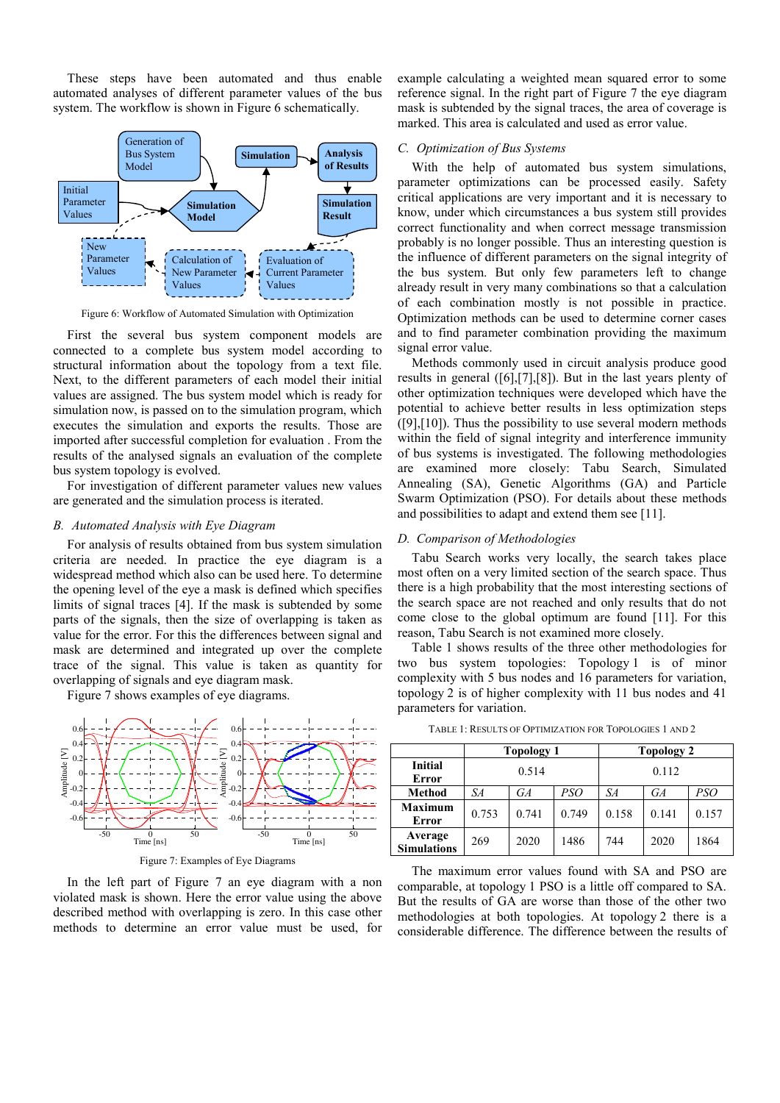These steps have been automated and thus enable automated analyses of different parameter values of the bus system. The workflow is shown in Figure 6 schematically.



Figure 6: Workflow of Automated Simulation with Optimization

First the several bus system component models are connected to a complete bus system model according to structural information about the topology from a text file. Next, to the different parameters of each model their initial values are assigned. The bus system model which is ready for simulation now, is passed on to the simulation program, which executes the simulation and exports the results. Those are imported after successful completion for evaluation . From the results of the analysed signals an evaluation of the complete bus system topology is evolved.

For investigation of different parameter values new values are generated and the simulation process is iterated.

#### *B. Automated Analysis with Eye Diagram*

For analysis of results obtained from bus system simulation criteria are needed. In practice the eye diagram is a widespread method which also can be used here. To determine the opening level of the eye a mask is defined which specifies limits of signal traces [4]. If the mask is subtended by some parts of the signals, then the size of overlapping is taken as value for the error. For this the differences between signal and mask are determined and integrated up over the complete trace of the signal. This value is taken as quantity for overlapping of signals and eye diagram mask.

Figure 7 shows examples of eye diagrams.



Figure 7: Examples of Eye Diagrams

In the left part of Figure 7 an eye diagram with a non violated mask is shown. Here the error value using the above described method with overlapping is zero. In this case other methods to determine an error value must be used, for

example calculating a weighted mean squared error to some reference signal. In the right part of Figure 7 the eye diagram mask is subtended by the signal traces, the area of coverage is marked. This area is calculated and used as error value.

## *C. Optimization of Bus Systems*

With the help of automated bus system simulations, parameter optimizations can be processed easily. Safety critical applications are very important and it is necessary to know, under which circumstances a bus system still provides correct functionality and when correct message transmission probably is no longer possible. Thus an interesting question is the influence of different parameters on the signal integrity of the bus system. But only few parameters left to change already result in very many combinations so that a calculation of each combination mostly is not possible in practice. Optimization methods can be used to determine corner cases and to find parameter combination providing the maximum signal error value.

Methods commonly used in circuit analysis produce good results in general ([6],[7],[8]). But in the last years plenty of other optimization techniques were developed which have the potential to achieve better results in less optimization steps ([9],[10]). Thus the possibility to use several modern methods within the field of signal integrity and interference immunity of bus systems is investigated. The following methodologies are examined more closely: Tabu Search, Simulated Annealing (SA), Genetic Algorithms (GA) and Particle Swarm Optimization (PSO). For details about these methods and possibilities to adapt and extend them see [11].

#### *D. Comparison of Methodologies*

Tabu Search works very locally, the search takes place most often on a very limited section of the search space. Thus there is a high probability that the most interesting sections of the search space are not reached and only results that do not come close to the global optimum are found [11]. For this reason, Tabu Search is not examined more closely.

Table 1 shows results of the three other methodologies for two bus system topologies: Topology 1 is of minor complexity with 5 bus nodes and 16 parameters for variation, topology 2 is of higher complexity with 11 bus nodes and 41 parameters for variation.

|                               | <b>Topology 1</b> |       |       | Topology 2 |       |       |
|-------------------------------|-------------------|-------|-------|------------|-------|-------|
| <b>Initial</b><br>Error       | 0.514             |       |       | 0.112      |       |       |
| <b>Method</b>                 | SА                | GA    | PSO   | SА         | GA    | PSO   |
| <b>Maximum</b><br>Error       | 0.753             | 0.741 | 0.749 | 0.158      | 0.141 | 0.157 |
| Average<br><b>Simulations</b> | 269               | 2020  | 1486  | 744        | 2020  | 1864  |

TABLE 1: RESULTS OF OPTIMIZATION FOR TOPOLOGIES 1 AND 2

The maximum error values found with SA and PSO are comparable, at topology 1 PSO is a little off compared to SA. But the results of GA are worse than those of the other two methodologies at both topologies. At topology 2 there is a considerable difference. The difference between the results of